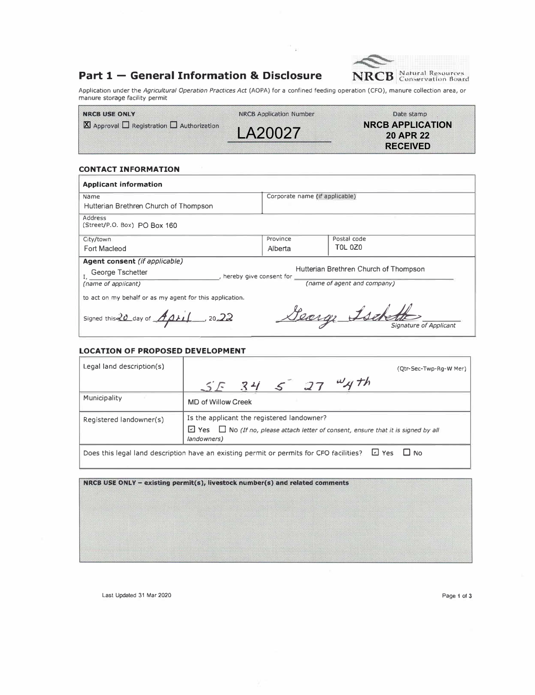## **Part 1 - General Information & Disclosure**



Application under the *Agricultural Operation Practices Act* (AOPA) for a confined feeding operation (CFO), manure collection area, or manure storage facility permit

 $\infty$ 

| <b>INRCBILSE ONLY</b>                                         | NRCB Application Number | Date stamp              |
|---------------------------------------------------------------|-------------------------|-------------------------|
| $\boxtimes$ Approval $\Box$ Registration $\Box$ Authorization |                         | <b>NRCB APPLICATION</b> |
|                                                               | LA20027                 | 20 APR 22               |
|                                                               |                         | RECEIVED                |

### **CONTACT INFORMATION**

| <b>Applicant information</b>                                                         |                                |                                           |  |  |  |
|--------------------------------------------------------------------------------------|--------------------------------|-------------------------------------------|--|--|--|
| Name                                                                                 | Corporate name (if applicable) |                                           |  |  |  |
| Hutterian Brethren Church of Thompson                                                |                                |                                           |  |  |  |
| Address<br>(Street/P.O. Box) PO Box 160                                              |                                |                                           |  |  |  |
| City/town                                                                            | Province                       | Postal code                               |  |  |  |
| Fort Macleod                                                                         | Alberta                        | <b>TOL 0Z0</b>                            |  |  |  |
| Agent consent (if applicable)                                                        |                                |                                           |  |  |  |
| Hutterian Brethren Church of Thompson<br>George Tschetter<br>hereby give consent for |                                |                                           |  |  |  |
| (name of applicant)                                                                  | (name of agent and company)    |                                           |  |  |  |
| to act on my behalf or as my agent for this application.                             |                                |                                           |  |  |  |
| Signed this $20$ day of $AD + 1$ , 20.22                                             |                                | George Ischette<br>Signature of Applicant |  |  |  |

### **LOCATION OF PROPOSED DEVELOPMENT**

| Legal land description(s)                                                                                     | (Otr-Sec-Twp-Rq-W Mer)                                                                                       |  |  |  |
|---------------------------------------------------------------------------------------------------------------|--------------------------------------------------------------------------------------------------------------|--|--|--|
|                                                                                                               | $5534527$ Wyth                                                                                               |  |  |  |
| Municipality                                                                                                  | MD of Willow Creek                                                                                           |  |  |  |
| Registered landowner(s)                                                                                       | Is the applicant the registered landowner?                                                                   |  |  |  |
|                                                                                                               | $\Box$ Yes $\Box$ No (If no, please attach letter of consent, ensure that it is signed by all<br>landowners) |  |  |  |
| 년 Yes<br>$\Box$ No<br>Does this legal land description have an existing permit or permits for CFO facilities? |                                                                                                              |  |  |  |

NRCB USE ONLY - existing permit(s), livestock number(s) and related comments

Last Updated 31 Mar 2020 Page 1 of 3